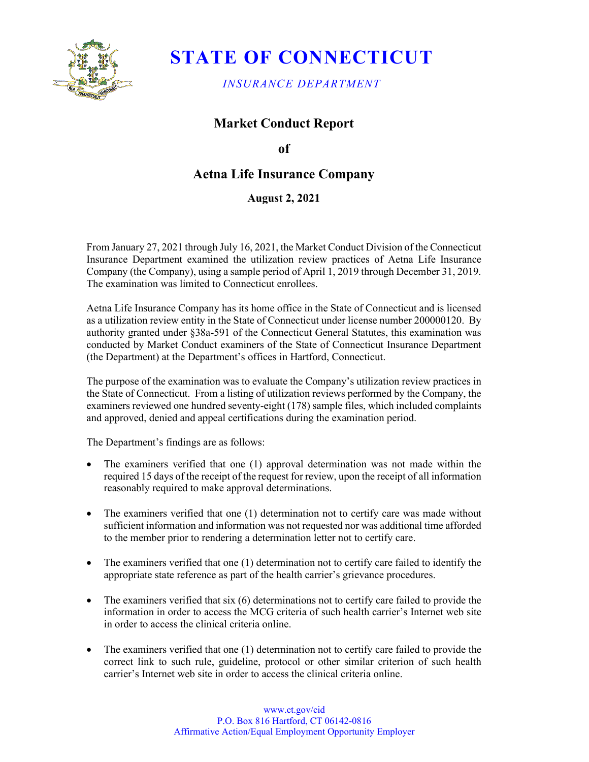

# **STATE OF CONNECTICUT**

*INSURANCE DEPARTMENT*

## **Market Conduct Report**

**of** 

## **Aetna Life Insurance Company**

### **August 2, 2021**

From January 27, 2021 through July 16, 2021, the Market Conduct Division of the Connecticut Insurance Department examined the utilization review practices of Aetna Life Insurance Company (the Company), using a sample period of April 1, 2019 through December 31, 2019. The examination was limited to Connecticut enrollees.

Aetna Life Insurance Company has its home office in the State of Connecticut and is licensed as a utilization review entity in the State of Connecticut under license number 200000120. By authority granted under §38a-591 of the Connecticut General Statutes, this examination was conducted by Market Conduct examiners of the State of Connecticut Insurance Department (the Department) at the Department's offices in Hartford, Connecticut.

The purpose of the examination was to evaluate the Company's utilization review practices in the State of Connecticut. From a listing of utilization reviews performed by the Company, the examiners reviewed one hundred seventy-eight (178) sample files, which included complaints and approved, denied and appeal certifications during the examination period.

The Department's findings are as follows:

- The examiners verified that one (1) approval determination was not made within the required 15 days of the receipt of the request for review, upon the receipt of all information reasonably required to make approval determinations.
- The examiners verified that one (1) determination not to certify care was made without sufficient information and information was not requested nor was additional time afforded to the member prior to rendering a determination letter not to certify care.
- The examiners verified that one (1) determination not to certify care failed to identify the appropriate state reference as part of the health carrier's grievance procedures.
- The examiners verified that  $\sin(6)$  determinations not to certify care failed to provide the information in order to access the MCG criteria of such health carrier's Internet web site in order to access the clinical criteria online.
- The examiners verified that one (1) determination not to certify care failed to provide the correct link to such rule, guideline, protocol or other similar criterion of such health carrier's Internet web site in order to access the clinical criteria online.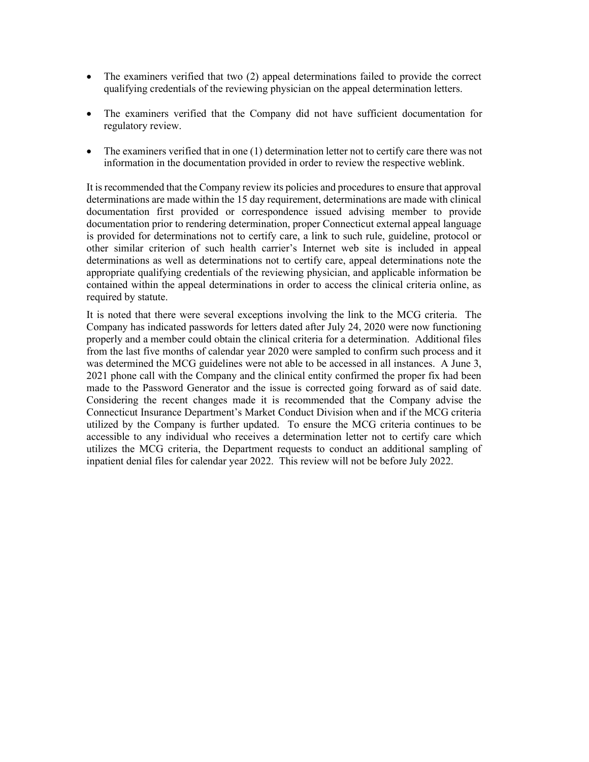- The examiners verified that two (2) appeal determinations failed to provide the correct qualifying credentials of the reviewing physician on the appeal determination letters.
- The examiners verified that the Company did not have sufficient documentation for regulatory review.
- The examiners verified that in one (1) determination letter not to certify care there was not information in the documentation provided in order to review the respective weblink.

It is recommended that the Company review its policies and procedures to ensure that approval determinations are made within the 15 day requirement, determinations are made with clinical documentation first provided or correspondence issued advising member to provide documentation prior to rendering determination, proper Connecticut external appeal language is provided for determinations not to certify care, a link to such rule, guideline, protocol or other similar criterion of such health carrier's Internet web site is included in appeal determinations as well as determinations not to certify care, appeal determinations note the appropriate qualifying credentials of the reviewing physician, and applicable information be contained within the appeal determinations in order to access the clinical criteria online, as required by statute.

It is noted that there were several exceptions involving the link to the MCG criteria. The Company has indicated passwords for letters dated after July 24, 2020 were now functioning properly and a member could obtain the clinical criteria for a determination. Additional files from the last five months of calendar year 2020 were sampled to confirm such process and it was determined the MCG guidelines were not able to be accessed in all instances. A June 3, 2021 phone call with the Company and the clinical entity confirmed the proper fix had been made to the Password Generator and the issue is corrected going forward as of said date. Considering the recent changes made it is recommended that the Company advise the Connecticut Insurance Department's Market Conduct Division when and if the MCG criteria utilized by the Company is further updated. To ensure the MCG criteria continues to be accessible to any individual who receives a determination letter not to certify care which utilizes the MCG criteria, the Department requests to conduct an additional sampling of inpatient denial files for calendar year 2022. This review will not be before July 2022.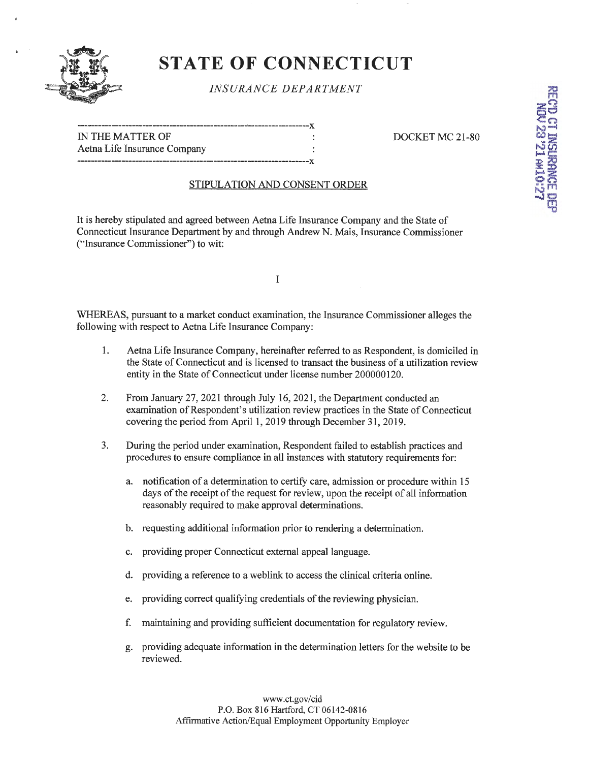

# **ST ATE OF CONNECTICUT**

### *INSURANCE DEPARTMENT*

| IN THE MATTER OF             |  |
|------------------------------|--|
| Aetna Life Insurance Company |  |
|                              |  |

#### DOCKET MC 21-80

### STIPULATION AND CONSENT ORDER

It is hereby stipulated and agreed between Aetna Life Insurance Company and the State of Connecticut Insurance Department by and through Andrew N. Mais, Insurance Commissioner ("Insurance Commissioner") to wit:

WHEREAS, pursuant to a market conduct examination, the Insurance Commissioner alleges the following with respect to Aetna Life Insurance Company:

I

- 1. Aetna Life Insurance Company, hereinafter referred to as Respondent, is domiciled in the State of Connecticut and is licensed to transact the business of a utilization review entity in the State of Connecticut under license number 200000120.
- 2. From January 27, 2021 through July 16, 2021, the Department conducted an examination of Respondent's utilization review practices in the State of Connecticut covering the period from April 1, 2019 through December 31, 2019.
- 3. During the period under examination, Respondent failed to establish practices and procedures to ensure compliance in all instances with statutory requirements for:
	- a. notification of a determination to certify care, admission or procedure within 15 days of the receipt of the request for review, upon the receipt of all information reasonably required to make approval determinations.
	- b. requesting additional information prior to rendering a determination.
	- c. providing proper Connecticut external appeal language.
	- d. providing a reference to a weblink to access the clinical criteria online.
	- e. providing correct qualifying credentials of the reviewing physician.
	- f. maintaining and providing sufficient documentation for regulatory review.
	- g. providing adequate information in the determination letters for the website to be reviewed.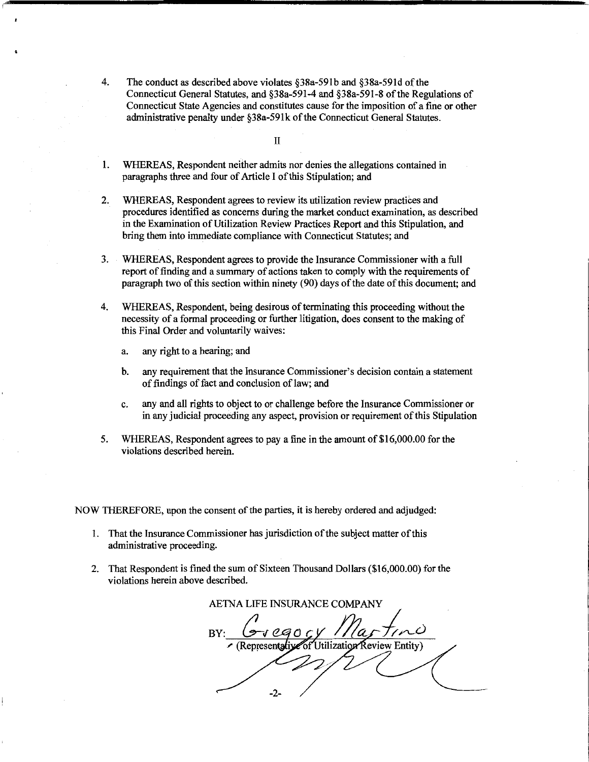4. The conduct as described above violates §38a-591b and §38a-591d of the Connecticut General Statutes, and §38a-591-4 and §38a-591-8 of the Regulations of Connecticut State Agencies and constitutes cause for the imposition of a fine or other administrative penalty under §38a-59lk of the Connecticut General Statutes.

II

- I. WHEREAS, Respondent neither admits nor denies the allegations contained in paragraphs three and four of Article I of this Stipulation; and
- 2. WHEREAS, Respondent agrees to review its utilization review practices and procedures identified as concerns during the market conduct examination, as described in the Examination of Utilization Review Practices Report and this Stipulation, and bring them into immediate compliance with Connecticut Statutes; and
- 3. WHEREAS, Respondent agrees to provide the Insurance Commissioner with a full report of finding and a summary of actions taken to comply with the requirements of paragraph two of this section within ninety (90) days of the date of this document; and
- 4. WHEREAS, Respondent, being desirous of terminating this proceeding without the necessity of a formal proceeding or further litigation, does consent to the making of this Final Order and voluntarily waives:
	- a. any right to a hearing; and
	- b. any requirement that the Insurance Commissioner's decision contain a statement of findings of fact and conclusion of law; and
	- c. any and all rights to object to or challenge before the Insurance Commissioner or in any judicial proceeding any aspect, provision or requirement of this Stipulation
- 5. WHEREAS, Respondent agrees to pay a fine in the amount of \$16,000.00 for the violations described herein.

NOW THEREFORE, upon the consent of the parties, it is hereby ordered and adjudged:

- I. That the Insurance Commissioner has jurisdiction of the subject matter of this administrative proceeding.
- 2. That Respondent is fined the sum of Sixteen Thousand Dollars (\$16,000.00) for the violations herein above described.

AETNA LIFE INSURANCE COMPANY of Utilization Review Entity) (Representative